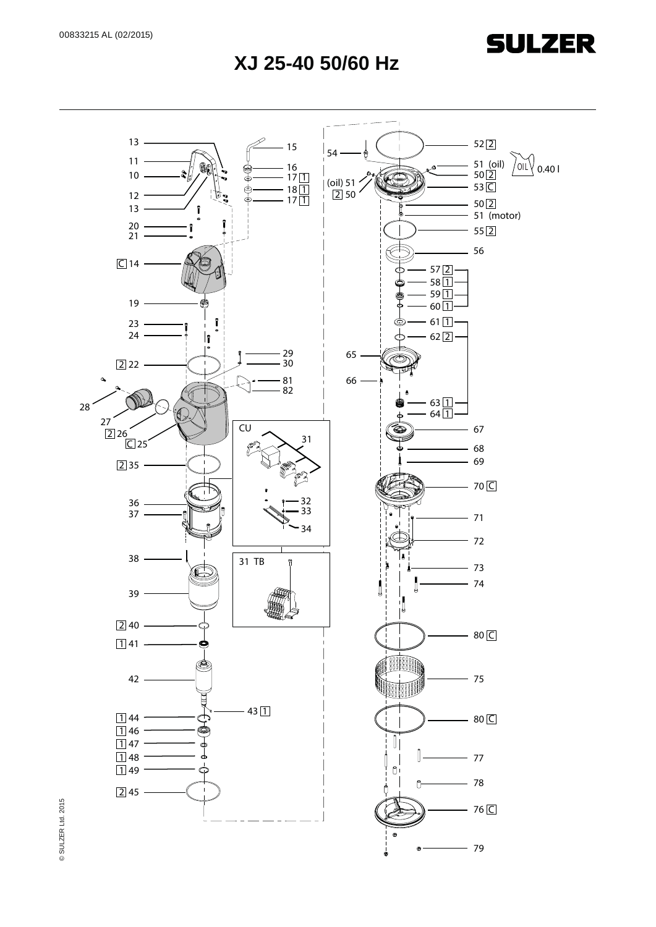**SULZER** 

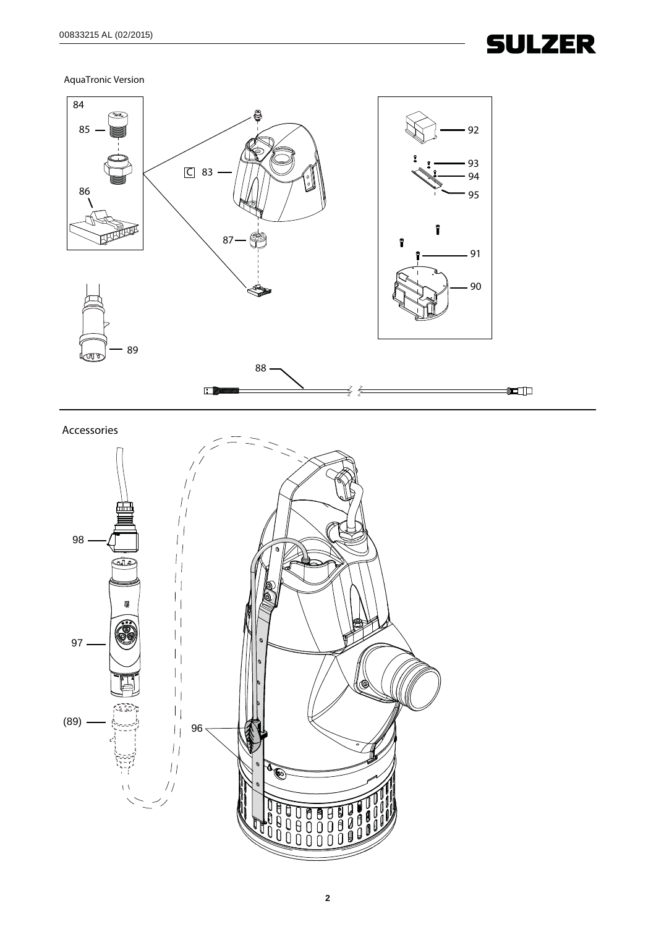

AquaTronic Version



Accessories

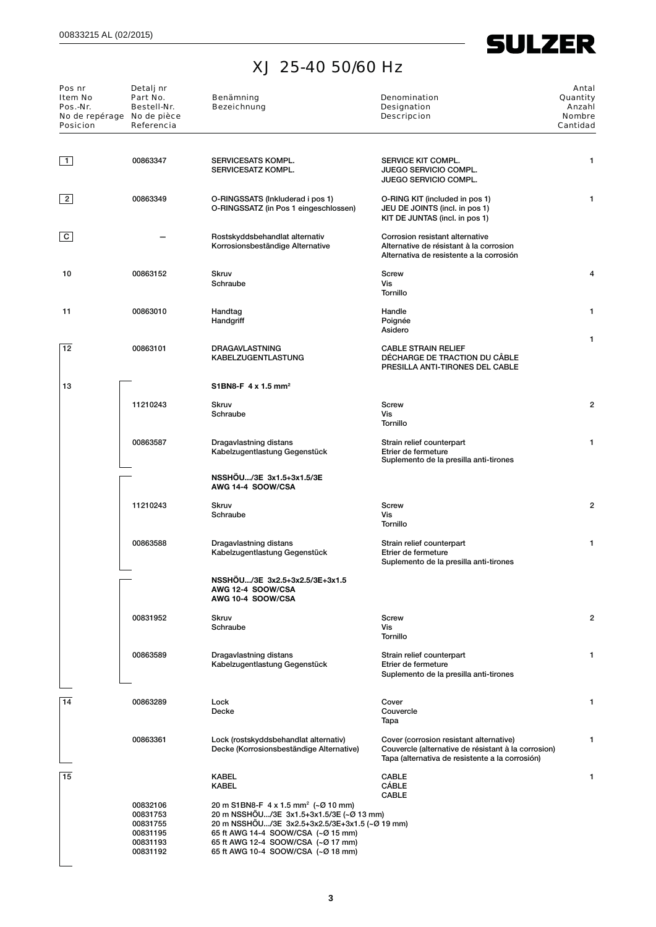## **SULZER**

## XJ 25-40 50/60 Hz

| Pos nr<br>Item No<br>Pos.-Nr.<br>No de repérage No de pièce<br><b>Posicion</b> | Detalj nr<br>Part No.<br>Bestell-Nr.<br>Referencia                   | Benämning<br><b>Bezeichnung</b>                                                                                                                                                                                                                                 | Denomination<br>Designation<br><b>Descripcion</b>                                                                                                 | Antal<br>Quantity<br>Anzahl<br><b>Nombre</b><br>Cantidad |
|--------------------------------------------------------------------------------|----------------------------------------------------------------------|-----------------------------------------------------------------------------------------------------------------------------------------------------------------------------------------------------------------------------------------------------------------|---------------------------------------------------------------------------------------------------------------------------------------------------|----------------------------------------------------------|
| $\vert$ 1                                                                      | 00863347                                                             | SERVICESATS KOMPL.<br>SERVICESATZ KOMPL.                                                                                                                                                                                                                        | SERVICE KIT COMPL.<br><b>JUEGO SERVICIO COMPL.</b><br><b>JUEGO SERVICIO COMPL.</b>                                                                | 1                                                        |
| $\vert$ 2                                                                      | 00863349                                                             | O-RINGSSATS (Inkluderad i pos 1)<br>O-RINGSSATZ (in Pos 1 eingeschlossen)                                                                                                                                                                                       | O-RING KIT (included in pos 1)<br>JEU DE JOINTS (incl. in pos 1)<br>KIT DE JUNTAS (incl. in pos 1)                                                | 1                                                        |
| C                                                                              |                                                                      | Rostskyddsbehandlat alternativ<br>Korrosionsbeständige Alternative                                                                                                                                                                                              | Corrosion resistant alternative<br>Alternative de résistant à la corrosion<br>Alternativa de resistente a la corrosión                            |                                                          |
| 10                                                                             | 00863152                                                             | <b>Skruv</b><br>Schraube                                                                                                                                                                                                                                        | Screw<br>Vis<br><b>Tornillo</b>                                                                                                                   | 4                                                        |
| 11                                                                             | 00863010                                                             | Handtag<br>Handgriff                                                                                                                                                                                                                                            | Handle<br>Poignée<br>Asidero                                                                                                                      | 1                                                        |
| 12                                                                             | 00863101                                                             | <b>DRAGAVLASTNING</b><br><b>KABELZUGENTLASTUNG</b>                                                                                                                                                                                                              | <b>CABLE STRAIN RELIEF</b><br>DÉCHARGE DE TRACTION DU CÂBLE<br>PRESILLA ANTI-TIRONES DEL CABLE                                                    | 1                                                        |
| 13                                                                             |                                                                      | S1BN8-F 4 x 1.5 mm <sup>2</sup>                                                                                                                                                                                                                                 |                                                                                                                                                   |                                                          |
|                                                                                | 11210243                                                             | <b>Skruv</b><br>Schraube                                                                                                                                                                                                                                        | Screw<br>Vis<br><b>Tornillo</b>                                                                                                                   | $\overline{2}$                                           |
|                                                                                | 00863587                                                             | Dragavlastning distans<br>Kabelzugentlastung Gegenstück                                                                                                                                                                                                         | Strain relief counterpart<br>Etrier de fermeture<br>Suplemento de la presilla anti-tirones                                                        | 1                                                        |
|                                                                                |                                                                      | NSSHOU/3E 3x1.5+3x1.5/3E<br>AWG 14-4 SOOW/CSA                                                                                                                                                                                                                   |                                                                                                                                                   |                                                          |
|                                                                                | 11210243                                                             | <b>Skruv</b><br>Schraube                                                                                                                                                                                                                                        | <b>Screw</b><br>Vis<br>Tornillo                                                                                                                   | $\overline{2}$                                           |
|                                                                                | 00863588                                                             | Dragavlastning distans<br>Kabelzugentlastung Gegenstück                                                                                                                                                                                                         | Strain relief counterpart<br>Etrier de fermeture<br>Suplemento de la presilla anti-tirones                                                        | 1                                                        |
|                                                                                |                                                                      | NSSHÖU/3E 3x2.5+3x2.5/3E+3x1.5<br>AWG 12-4 SOOW/CSA<br>AWG 10-4 SOOW/CSA                                                                                                                                                                                        |                                                                                                                                                   |                                                          |
|                                                                                | 00831952                                                             | <b>Skruv</b><br>Schraube                                                                                                                                                                                                                                        | Screw<br>Vis<br>Tornillo                                                                                                                          | $\overline{2}$                                           |
|                                                                                | 00863589                                                             | Dragavlastning distans<br>Kabelzugentlastung Gegenstück                                                                                                                                                                                                         | Strain relief counterpart<br>Etrier de fermeture<br>Suplemento de la presilla anti-tirones                                                        | 1                                                        |
| 14                                                                             | 00863289                                                             | Lock<br>Decke                                                                                                                                                                                                                                                   | Cover<br>Couvercle<br>Tapa                                                                                                                        | 1                                                        |
|                                                                                | 00863361                                                             | Lock (rostskyddsbehandlat alternativ)<br>Decke (Korrosionsbeständige Alternative)                                                                                                                                                                               | Cover (corrosion resistant alternative)<br>Couvercle (alternative de résistant à la corrosion)<br>Tapa (alternativa de resistente a la corrosión) | 1                                                        |
| 15                                                                             |                                                                      | <b>KABEL</b><br><b>KABEL</b>                                                                                                                                                                                                                                    | <b>CABLE</b><br><b>CÁBLE</b><br><b>CABLE</b>                                                                                                      | 1                                                        |
|                                                                                | 00832106<br>00831753<br>00831755<br>00831195<br>00831193<br>00831192 | 20 m S1BN8-F 4 x 1.5 mm <sup>2</sup> (~Ø 10 mm)<br>20 m NSSHÖU/3E 3x1.5+3x1.5/3E (~Ø 13 mm)<br>20 m NSSHOU/3E 3x2.5+3x2.5/3E+3x1.5 (~Ø 19 mm)<br>65 ft AWG 14-4 SOOW/CSA (~Ø 15 mm)<br>65 ft AWG 12-4 SOOW/CSA (~Ø 17 mm)<br>65 ft AWG 10-4 SOOW/CSA (~Ø 18 mm) |                                                                                                                                                   |                                                          |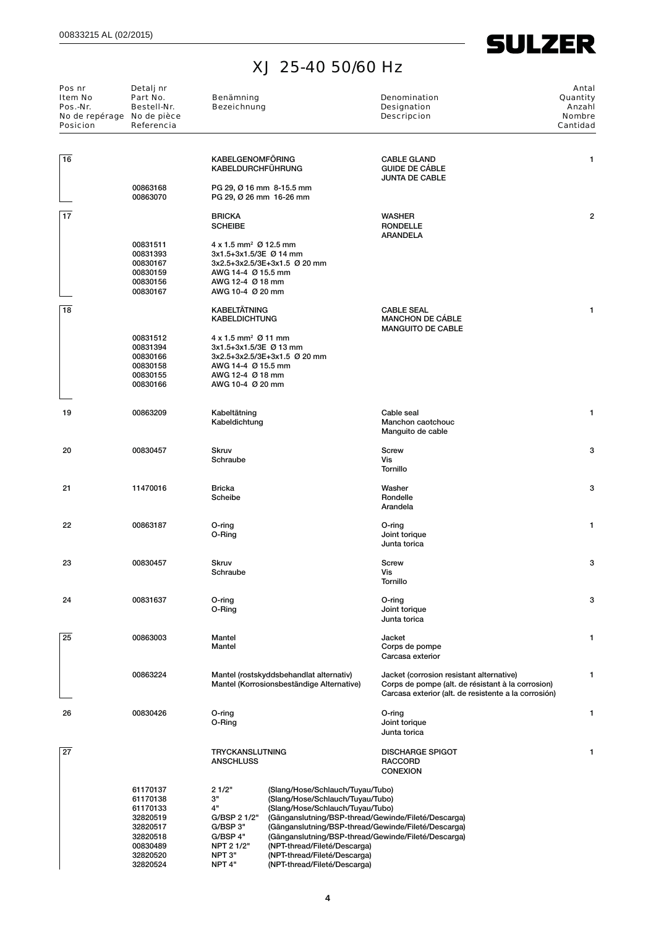**SULZER** 

| Pos nr<br>Item No<br>Pos.-Nr.<br>No de repérage No de pièce<br><b>Posicion</b> | Detalj nr<br>Part No.<br>Bestell-Nr.<br>Referencia                                                       | Benämning<br><b>Bezeichnung</b>                                                                                                  |                                                                                                                                                                                                                                                                                                                                                                               | Denomination<br>Designation<br><b>Descripcion</b>                                                                                                     | Antal<br>Quantity<br>Anzahl<br>Nombre<br>Cantidad |
|--------------------------------------------------------------------------------|----------------------------------------------------------------------------------------------------------|----------------------------------------------------------------------------------------------------------------------------------|-------------------------------------------------------------------------------------------------------------------------------------------------------------------------------------------------------------------------------------------------------------------------------------------------------------------------------------------------------------------------------|-------------------------------------------------------------------------------------------------------------------------------------------------------|---------------------------------------------------|
| 16                                                                             |                                                                                                          | <b>KABELGENOMFÖRING</b><br><b>KABELDURCHFÜHRUNG</b>                                                                              |                                                                                                                                                                                                                                                                                                                                                                               | <b>CABLE GLAND</b><br><b>GUIDE DE CÁBLE</b><br><b>JUNTA DE CABLE</b>                                                                                  | 1                                                 |
|                                                                                | 00863168<br>00863070                                                                                     | PG 29, Ø 16 mm 8-15.5 mm<br>PG 29, Ø 26 mm 16-26 mm                                                                              |                                                                                                                                                                                                                                                                                                                                                                               |                                                                                                                                                       |                                                   |
| 17                                                                             |                                                                                                          | <b>BRICKA</b><br><b>SCHEIBE</b>                                                                                                  |                                                                                                                                                                                                                                                                                                                                                                               | <b>WASHER</b><br><b>RONDELLE</b><br><b>ARANDELA</b>                                                                                                   | $\overline{a}$                                    |
|                                                                                | 00831511<br>00831393<br>00830167<br>00830159<br>00830156<br>00830167                                     | $4 \times 1.5$ mm <sup>2</sup> Ø 12.5 mm<br>3x1.5+3x1.5/3E Ø 14 mm<br>AWG 14-4 Ø 15.5 mm<br>AWG 12-4 Ø 18 mm<br>AWG 10-4 Ø 20 mm | 3x2.5+3x2.5/3E+3x1.5 Ø 20 mm                                                                                                                                                                                                                                                                                                                                                  |                                                                                                                                                       |                                                   |
| 18                                                                             |                                                                                                          | <b>KABELTÄTNING</b><br><b>KABELDICHTUNG</b>                                                                                      |                                                                                                                                                                                                                                                                                                                                                                               | <b>CABLE SEAL</b><br><b>MANCHON DE CÁBLE</b><br><b>MANGUITO DE CABLE</b>                                                                              | 1                                                 |
|                                                                                | 00831512<br>00831394<br>00830166<br>00830158<br>00830155<br>00830166                                     | $4 \times 1.5$ mm <sup>2</sup> Ø 11 mm<br>3x1.5+3x1.5/3E Ø 13 mm<br>AWG 14-4 Ø 15.5 mm<br>AWG 12-4 Ø 18 mm<br>AWG 10-4 Ø 20 mm   | 3x2.5+3x2.5/3E+3x1.5 Ø 20 mm                                                                                                                                                                                                                                                                                                                                                  |                                                                                                                                                       |                                                   |
| 19                                                                             | 00863209                                                                                                 | Kabeltätning<br>Kabeldichtung                                                                                                    |                                                                                                                                                                                                                                                                                                                                                                               | Cable seal<br>Manchon caotchouc<br>Manguito de cable                                                                                                  | 1                                                 |
| 20                                                                             | 00830457                                                                                                 | <b>Skruv</b><br>Schraube                                                                                                         |                                                                                                                                                                                                                                                                                                                                                                               | Screw<br>Vis<br><b>Tornillo</b>                                                                                                                       | 3                                                 |
| 21                                                                             | 11470016                                                                                                 | <b>Bricka</b><br>Scheibe                                                                                                         |                                                                                                                                                                                                                                                                                                                                                                               | Washer<br>Rondelle<br>Arandela                                                                                                                        | 3                                                 |
| 22                                                                             | 00863187                                                                                                 | O-ring<br>O-Ring                                                                                                                 |                                                                                                                                                                                                                                                                                                                                                                               | O-ring<br>Joint torique<br>Junta torica                                                                                                               | 1                                                 |
| 23                                                                             | 00830457                                                                                                 | <b>Skruv</b><br>Schraube                                                                                                         |                                                                                                                                                                                                                                                                                                                                                                               | Screw<br>Vis<br>Tornillo                                                                                                                              | 3                                                 |
| 24                                                                             | 00831637                                                                                                 | O-ring<br>O-Ring                                                                                                                 |                                                                                                                                                                                                                                                                                                                                                                               | O-ring<br>Joint torique<br>Junta torica                                                                                                               | 3                                                 |
| 25                                                                             | 00863003                                                                                                 | Mantel<br>Mantel                                                                                                                 |                                                                                                                                                                                                                                                                                                                                                                               | Jacket<br>Corps de pompe<br>Carcasa exterior                                                                                                          | 1                                                 |
|                                                                                | 00863224                                                                                                 |                                                                                                                                  | Mantel (rostskyddsbehandlat alternativ)<br>Mantel (Korrosionsbeständige Alternative)                                                                                                                                                                                                                                                                                          | Jacket (corrosion resistant alternative)<br>Corps de pompe (alt. de résistant à la corrosion)<br>Carcasa exterior (alt. de resistente a la corrosión) | 1                                                 |
| 26                                                                             | 00830426                                                                                                 | O-ring<br>O-Ring                                                                                                                 |                                                                                                                                                                                                                                                                                                                                                                               | O-ring<br>Joint torique<br>Junta torica                                                                                                               | 1                                                 |
| 27                                                                             |                                                                                                          | TRYCKANSLUTNING<br><b>ANSCHLUSS</b>                                                                                              |                                                                                                                                                                                                                                                                                                                                                                               | <b>DISCHARGE SPIGOT</b><br><b>RACCORD</b><br><b>CONEXION</b>                                                                                          | 1                                                 |
|                                                                                | 61170137<br>61170138<br>61170133<br>32820519<br>32820517<br>32820518<br>00830489<br>32820520<br>32820524 | 21/2"<br>3"<br>4"<br>G/BSP 2 1/2"<br>G/BSP 3"<br>G/BSP 4"<br>NPT 2 1/2"<br>NPT 3"<br>NPT <sub>4"</sub>                           | (Slang/Hose/Schlauch/Tuyau/Tubo)<br>(Slang/Hose/Schlauch/Tuyau/Tubo)<br>(Slang/Hose/Schlauch/Tuyau/Tubo)<br>(Gänganslutning/BSP-thread/Gewinde/Fileté/Descarga)<br>(Gänganslutning/BSP-thread/Gewinde/Fileté/Descarga)<br>(Gänganslutning/BSP-thread/Gewinde/Fileté/Descarga)<br>(NPT-thread/Fileté/Descarga)<br>(NPT-thread/Fileté/Descarga)<br>(NPT-thread/Fileté/Descarga) |                                                                                                                                                       |                                                   |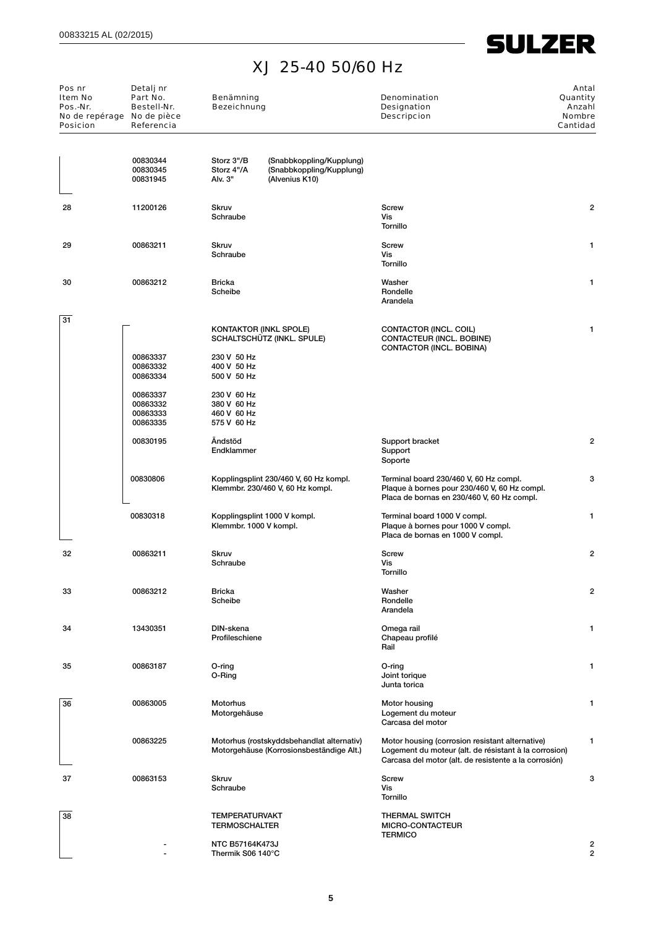**SULZER** 

 $\overline{\phantom{a}}$ 

| Pos nr<br>Item No<br>Pos.-Nr.<br>No de repérage No de pièce<br><b>Posicion</b> | Detalj nr<br>Part No.<br>Bestell-Nr.<br>Referencia       | Benämning<br><b>Bezeichnung</b>                                         |                                                                                       | Denomination<br>Designation<br><b>Descripcion</b>                                                                                                                 | Antal<br>Quantity<br>Anzahl<br><b>Nombre</b><br>Cantidad |
|--------------------------------------------------------------------------------|----------------------------------------------------------|-------------------------------------------------------------------------|---------------------------------------------------------------------------------------|-------------------------------------------------------------------------------------------------------------------------------------------------------------------|----------------------------------------------------------|
|                                                                                | 00830344<br>00830345<br>00831945                         | Storz 3"/B<br>Storz 4"/A<br>Alv. 3"                                     | (Snabbkoppling/Kupplung)<br>(Snabbkoppling/Kupplung)<br>(Alvenius K10)                |                                                                                                                                                                   |                                                          |
| 28                                                                             | 11200126                                                 | Skruv<br>Schraube                                                       |                                                                                       | Screw<br>Vis<br>Tornillo                                                                                                                                          | 2                                                        |
| 29                                                                             | 00863211                                                 | <b>Skruv</b><br>Schraube                                                |                                                                                       | Screw<br>Vis<br>Tornillo                                                                                                                                          | 1                                                        |
| 30                                                                             | 00863212                                                 | Bricka<br>Scheibe                                                       |                                                                                       | Washer<br>Rondelle<br>Arandela                                                                                                                                    | 1                                                        |
| 31                                                                             | 00863337<br>00863332                                     | 230 V 50 Hz<br>400 V 50 Hz                                              | <b>KONTAKTOR (INKL SPOLE)</b><br>SCHALTSCHÜTZ (INKL. SPULE)                           | CONTACTOR (INCL. COIL)<br>CONTACTEUR (INCL. BOBINE)<br>CONTACTOR (INCL. BOBINA)                                                                                   | 1                                                        |
|                                                                                | 00863334<br>00863337<br>00863332<br>00863333<br>00863335 | 500 V 50 Hz<br>230 V 60 Hz<br>380 V 60 Hz<br>460 V 60 Hz<br>575 V 60 Hz |                                                                                       |                                                                                                                                                                   |                                                          |
|                                                                                | 00830195                                                 | Ändstöd<br>Endklammer                                                   |                                                                                       | Support bracket<br>Support<br>Soporte                                                                                                                             | 2                                                        |
|                                                                                | 00830806                                                 |                                                                         | Kopplingsplint 230/460 V, 60 Hz kompl.<br>Klemmbr. 230/460 V, 60 Hz kompl.            | Terminal board 230/460 V, 60 Hz compl.<br>Plaque à bornes pour 230/460 V, 60 Hz compl.<br>Placa de bornas en 230/460 V, 60 Hz compl.                              | 3                                                        |
|                                                                                | 00830318                                                 | Klemmbr. 1000 V kompl.                                                  | Kopplingsplint 1000 V kompl.                                                          | Terminal board 1000 V compl.<br>Plaque à bornes pour 1000 V compl.<br>Placa de bornas en 1000 V compl.                                                            | 1                                                        |
| 32                                                                             | 00863211                                                 | <b>Skruv</b><br>Schraube                                                |                                                                                       | Screw<br>Vis<br>Tornillo                                                                                                                                          | 2                                                        |
| 33                                                                             | 00863212                                                 | <b>Bricka</b><br>Scheibe                                                |                                                                                       | Washer<br>Rondelle<br>Arandela                                                                                                                                    | 2                                                        |
| 34                                                                             | 13430351                                                 | DIN-skena<br>Profileschiene                                             |                                                                                       | Omega rail<br>Chapeau profilé<br>Rail                                                                                                                             | 1                                                        |
| 35                                                                             | 00863187                                                 | O-ring<br>O-Ring                                                        |                                                                                       | O-ring<br>Joint torique<br>Junta torica                                                                                                                           | 1                                                        |
| 36                                                                             | 00863005                                                 | Motorhus<br>Motorgehäuse                                                |                                                                                       | Motor housing<br>Logement du moteur<br>Carcasa del motor                                                                                                          | 1                                                        |
|                                                                                | 00863225                                                 |                                                                         | Motorhus (rostskyddsbehandlat alternativ)<br>Motorgehäuse (Korrosionsbeständige Alt.) | Motor housing (corrosion resistant alternative)<br>Logement du moteur (alt. de résistant à la corrosion)<br>Carcasa del motor (alt. de resistente a la corrosión) | 1                                                        |
| 37                                                                             | 00863153                                                 | <b>Skruv</b><br>Schraube                                                |                                                                                       | Screw<br>Vis<br>Tornillo                                                                                                                                          | 3                                                        |
| 38                                                                             |                                                          | <b>TEMPERATURVAKT</b><br><b>TERMOSCHALTER</b>                           |                                                                                       | <b>THERMAL SWITCH</b><br>MICRO-CONTACTEUR<br><b>TERMICO</b>                                                                                                       |                                                          |
|                                                                                |                                                          | <b>NTC B57164K473J</b><br>Thermik S06 140°C                             |                                                                                       |                                                                                                                                                                   | 2<br>2                                                   |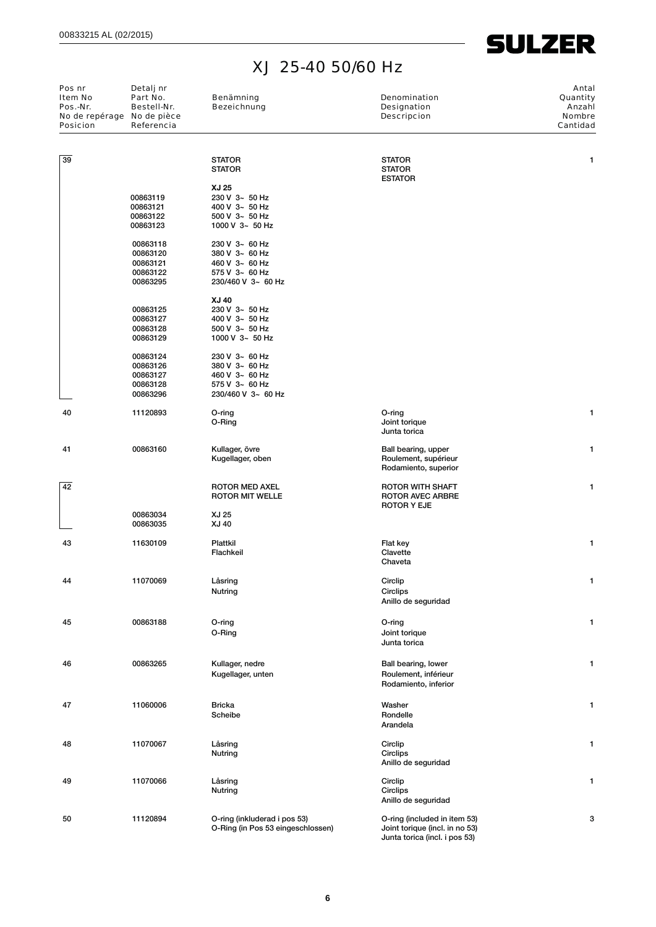**SULZER** 

| Pos nr<br>Item No<br>Pos.-Nr.<br>No de repérage No de pièce<br><b>Posicion</b> | Detalj nr<br>Part No.<br>Bestell-Nr.<br>Referencia | Benämning<br><b>Bezeichnung</b>                                   | Denomination<br><b>Designation</b><br><b>Descripcion</b>       | Antal<br>Quantity<br>Anzahl<br><b>Nombre</b><br>Cantidad |
|--------------------------------------------------------------------------------|----------------------------------------------------|-------------------------------------------------------------------|----------------------------------------------------------------|----------------------------------------------------------|
| 39                                                                             |                                                    | <b>STATOR</b><br><b>STATOR</b>                                    | <b>STATOR</b><br><b>STATOR</b><br><b>ESTATOR</b>               | 1                                                        |
|                                                                                |                                                    | XJ 25                                                             |                                                                |                                                          |
|                                                                                | 00863119                                           | 230 V 3~ 50 Hz                                                    |                                                                |                                                          |
|                                                                                | 00863121                                           | 400 V 3~ 50 Hz                                                    |                                                                |                                                          |
|                                                                                | 00863122<br>00863123                               | $500$ V $3 - 50$ Hz<br>1000 V $3 - 50$ Hz                         |                                                                |                                                          |
|                                                                                | 00863118                                           | 230 V 3~ 60 Hz                                                    |                                                                |                                                          |
|                                                                                | 00863120                                           | 380 V 3~ 60 Hz                                                    |                                                                |                                                          |
|                                                                                | 00863121<br>00863122                               | 460 V 3~ 60 Hz<br>575 V 3~ 60 Hz                                  |                                                                |                                                          |
|                                                                                | 00863295                                           | 230/460 V 3~ 60 Hz                                                |                                                                |                                                          |
|                                                                                |                                                    | XJ 40                                                             |                                                                |                                                          |
|                                                                                | 00863125<br>00863127                               | 230 V 3~ 50 Hz<br>400 V 3~ 50 Hz                                  |                                                                |                                                          |
|                                                                                | 00863128                                           | $500$ V $3 - 50$ Hz                                               |                                                                |                                                          |
|                                                                                | 00863129                                           | 1000 V $3 - 50$ Hz                                                |                                                                |                                                          |
|                                                                                | 00863124                                           | 230 V 3~ 60 Hz                                                    |                                                                |                                                          |
|                                                                                | 00863126                                           | 380 V 3~ 60 Hz                                                    |                                                                |                                                          |
|                                                                                | 00863127<br>00863128                               | 460 V 3~ 60 Hz<br>575 V 3~ 60 Hz                                  |                                                                |                                                          |
|                                                                                | 00863296                                           | 230/460 V 3~ 60 Hz                                                |                                                                |                                                          |
| 40                                                                             | 11120893                                           | O-ring                                                            | O-ring                                                         | 1                                                        |
|                                                                                |                                                    | O-Ring                                                            | Joint torique<br>Junta torica                                  |                                                          |
| 41                                                                             | 00863160                                           | Kullager, övre                                                    | Ball bearing, upper                                            | 1                                                        |
|                                                                                |                                                    | Kugellager, oben                                                  | Roulement, supérieur<br>Rodamiento, superior                   |                                                          |
| 42                                                                             |                                                    | <b>ROTOR MED AXEL</b>                                             | <b>ROTOR WITH SHAFT</b>                                        | 1                                                        |
|                                                                                |                                                    | <b>ROTOR MIT WELLE</b>                                            | ROTOR AVEC ARBRE<br><b>ROTOR Y EJE</b>                         |                                                          |
|                                                                                | 00863034                                           | XJ 25                                                             |                                                                |                                                          |
|                                                                                | 00863035                                           | XJ 40                                                             |                                                                |                                                          |
| 43                                                                             | 11630109                                           | Plattkil                                                          | Flat key                                                       | 1                                                        |
|                                                                                |                                                    | Flachkeil                                                         | Clavette<br>Chaveta                                            |                                                          |
| 44                                                                             | 11070069                                           | Låsring                                                           | Circlip                                                        |                                                          |
|                                                                                |                                                    | Nutring                                                           | Circlips                                                       |                                                          |
|                                                                                |                                                    |                                                                   | Anillo de seguridad                                            |                                                          |
| 45                                                                             | 00863188                                           | O-ring                                                            | O-ring                                                         | 1                                                        |
|                                                                                |                                                    | O-Ring                                                            | Joint torique                                                  |                                                          |
|                                                                                |                                                    |                                                                   | Junta torica                                                   |                                                          |
| 46                                                                             | 00863265                                           | Kullager, nedre                                                   | Ball bearing, lower                                            | 1                                                        |
|                                                                                |                                                    | Kugellager, unten                                                 | Roulement, inférieur                                           |                                                          |
|                                                                                |                                                    |                                                                   | Rodamiento, inferior                                           |                                                          |
| 47                                                                             | 11060006                                           | <b>Bricka</b>                                                     | Washer                                                         | 1                                                        |
|                                                                                |                                                    | Scheibe                                                           | Rondelle                                                       |                                                          |
|                                                                                |                                                    |                                                                   | Arandela                                                       |                                                          |
| 48                                                                             | 11070067                                           | Låsring                                                           | Circlip                                                        | 1                                                        |
|                                                                                |                                                    | Nutring                                                           | Circlips<br>Anillo de seguridad                                |                                                          |
| 49                                                                             | 11070066                                           | Låsring                                                           | Circlip                                                        | 1                                                        |
|                                                                                |                                                    | Nutring                                                           | Circlips                                                       |                                                          |
|                                                                                |                                                    |                                                                   | Anillo de seguridad                                            |                                                          |
| 50                                                                             | 11120894                                           | O-ring (inkluderad i pos 53)<br>O-Ring (in Pos 53 eingeschlossen) | O-ring (included in item 53)<br>Joint torique (incl. in no 53) | 3                                                        |

Junta torica (incl. i pos 53)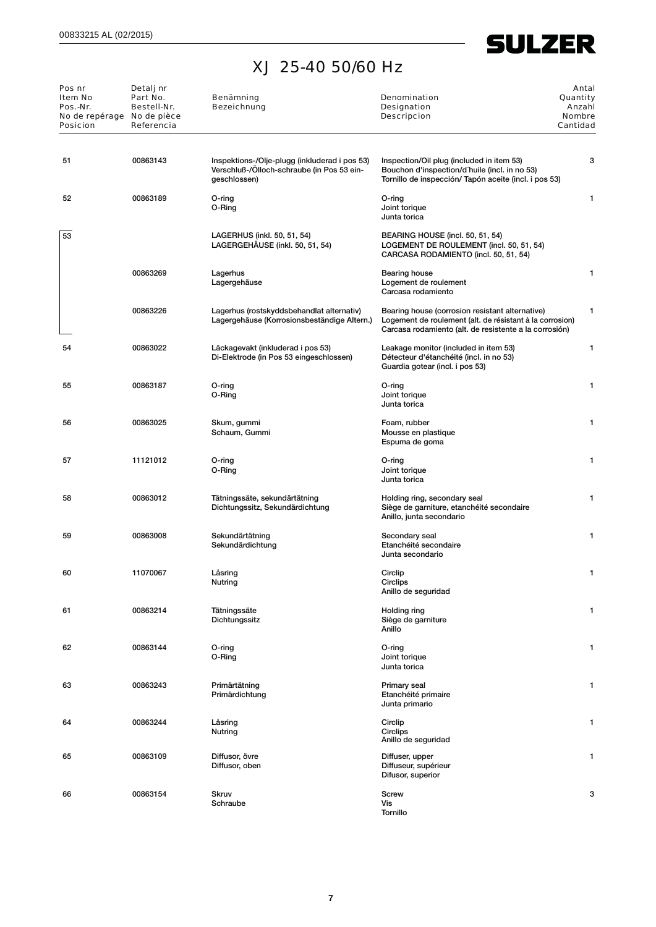## **SULZER**

## XJ 25-40 50/60 Hz

| Pos nr<br><b>Item No</b><br>Pos.-Nr.<br>No de repérage No de pièce<br><b>Posicion</b> | Detalj nr<br>Part No.<br>Bestell-Nr.<br>Referencia | Benämning<br><b>Bezeichnung</b>                                                                             | <b>Denomination</b><br>Designation<br><b>Descripcion</b>                                                                                                              | Antal<br>Quantity<br>Anzahl<br><b>Nombre</b><br>Cantidad |
|---------------------------------------------------------------------------------------|----------------------------------------------------|-------------------------------------------------------------------------------------------------------------|-----------------------------------------------------------------------------------------------------------------------------------------------------------------------|----------------------------------------------------------|
| 51                                                                                    | 00863143                                           | Inspektions-/Olje-plugg (inkluderad i pos 53)<br>Verschluß-/Ölloch-schraube (in Pos 53 ein-<br>geschlossen) | Inspection/Oil plug (included in item 53)<br>Bouchon d'inspection/d'huile (incl. in no 53)<br>Tornillo de inspección/ Tapón aceite (incl. i pos 53)                   | 3                                                        |
| 52                                                                                    | 00863189                                           | O-ring<br>O-Ring                                                                                            | O-ring<br>Joint torique<br>Junta torica                                                                                                                               | 1                                                        |
| 53                                                                                    |                                                    | LAGERHUS (inkl. 50, 51, 54)<br>LAGERGEHAUSE (inkl. 50, 51, 54)                                              | BEARING HOUSE (incl. 50, 51, 54)<br>LOGEMENT DE ROULEMENT (incl. 50, 51, 54)<br>CARCASA RODAMIENTO (incl. 50, 51, 54)                                                 |                                                          |
|                                                                                       | 00863269                                           | Lagerhus<br>Lagergehäuse                                                                                    | Bearing house<br>Logement de roulement<br>Carcasa rodamiento                                                                                                          | 1                                                        |
|                                                                                       | 00863226                                           | Lagerhus (rostskyddsbehandlat alternativ)<br>Lagergehäuse (Korrosionsbeständige Altern.)                    | Bearing house (corrosion resistant alternative)<br>Logement de roulement (alt. de résistant à la corrosion)<br>Carcasa rodamiento (alt. de resistente a la corrosión) | 1                                                        |
| 54                                                                                    | 00863022                                           | Läckagevakt (inkluderad i pos 53)<br>Di-Elektrode (in Pos 53 eingeschlossen)                                | Leakage monitor (included in item 53)<br>Détecteur d'étanchéité (incl. in no 53)<br>Guardia gotear (incl. i pos 53)                                                   | 1                                                        |
| 55                                                                                    | 00863187                                           | O-ring<br>O-Ring                                                                                            | O-ring<br>Joint torique<br>Junta torica                                                                                                                               | 1                                                        |
| 56                                                                                    | 00863025                                           | Skum, gummi<br>Schaum, Gummi                                                                                | Foam, rubber<br>Mousse en plastique<br>Espuma de goma                                                                                                                 | 1                                                        |
| 57                                                                                    | 11121012                                           | O-ring<br>O-Ring                                                                                            | O-ring<br>Joint torique<br>Junta torica                                                                                                                               | 1                                                        |
| 58                                                                                    | 00863012                                           | Tätningssäte, sekundärtätning<br>Dichtungssitz, Sekundärdichtung                                            | Holding ring, secondary seal<br>Siège de garniture, etanchéité secondaire<br>Anillo, junta secondario                                                                 | 1                                                        |
| 59                                                                                    | 00863008                                           | Sekundärtätning<br>Sekundärdichtung                                                                         | Secondary seal<br>Etanchéité secondaire<br>Junta secondario                                                                                                           | 1                                                        |
| 60                                                                                    | 11070067                                           | Låsring<br>Nutring                                                                                          | Circlip<br>Circlips<br>Anillo de seguridad                                                                                                                            | 1                                                        |
| 61                                                                                    | 00863214                                           | Tätningssäte<br>Dichtungssitz                                                                               | Holding ring<br>Siège de garniture<br>Anillo                                                                                                                          | 1                                                        |
| 62                                                                                    | 00863144                                           | O-ring<br>O-Ring                                                                                            | O-ring<br>Joint torique<br>Junta torica                                                                                                                               | 1                                                        |
| 63                                                                                    | 00863243                                           | Primärtätning<br>Primärdichtung                                                                             | Primary seal<br>Etanchéité primaire<br>Junta primario                                                                                                                 | 1                                                        |
| 64                                                                                    | 00863244                                           | Låsring<br>Nutring                                                                                          | Circlip<br>Circlips<br>Anillo de seguridad                                                                                                                            | 1                                                        |
| 65                                                                                    | 00863109                                           | Diffusor, övre<br>Diffusor, oben                                                                            | Diffuser, upper<br>Diffuseur, supérieur<br>Difusor, superior                                                                                                          | 1                                                        |
| 66                                                                                    | 00863154                                           | <b>Skruv</b><br>Schraube                                                                                    | Screw<br>Vis<br>Tornillo                                                                                                                                              | 3                                                        |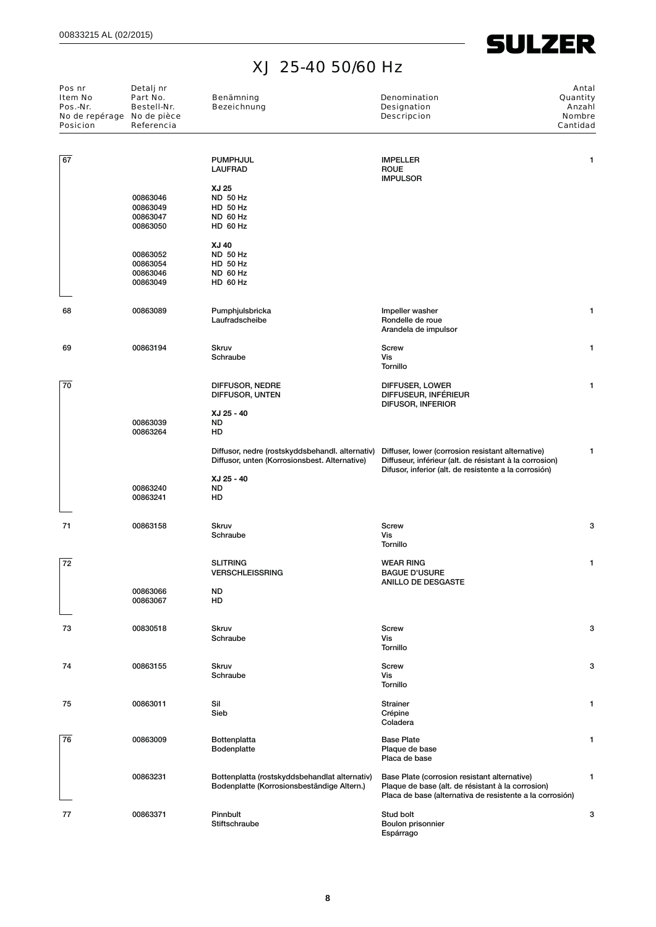**SULZER** 

| Pos nr<br>Item No<br>Pos.-Nr.<br>No de repérage No de pièce<br><b>Posicion</b> | Detalj nr<br>Part No.<br>Bestell-Nr.<br>Referencia | Benämning<br><b>Bezeichnung</b>                                                                  | <b>Denomination</b><br><b>Designation</b><br><b>Descripcion</b>                                                                                                       | Antal<br>Quantity<br>Anzahl<br><b>Nombre</b><br>Cantidad |
|--------------------------------------------------------------------------------|----------------------------------------------------|--------------------------------------------------------------------------------------------------|-----------------------------------------------------------------------------------------------------------------------------------------------------------------------|----------------------------------------------------------|
| 67                                                                             |                                                    | <b>PUMPHJUL</b><br><b>LAUFRAD</b>                                                                | <b>IMPELLER</b><br><b>ROUE</b><br><b>IMPULSOR</b>                                                                                                                     | 1                                                        |
|                                                                                | 00863046<br>00863049<br>00863047<br>00863050       | XJ 25<br><b>ND 50 Hz</b><br>HD 50 Hz<br>ND 60 Hz<br>HD 60 Hz                                     |                                                                                                                                                                       |                                                          |
|                                                                                | 00863052<br>00863054<br>00863046<br>00863049       | XJ 40<br><b>ND 50 Hz</b><br>HD 50 Hz<br>ND 60 Hz<br>HD 60 Hz                                     |                                                                                                                                                                       |                                                          |
| 68                                                                             | 00863089                                           | Pumphjulsbricka<br>Laufradscheibe                                                                | Impeller washer<br>Rondelle de roue<br>Arandela de impulsor                                                                                                           | 1                                                        |
| 69                                                                             | 00863194                                           | Skruv<br>Schraube                                                                                | <b>Screw</b><br>Vis<br>Tornillo                                                                                                                                       | 1                                                        |
| 70                                                                             |                                                    | DIFFUSOR, NEDRE<br>DIFFUSOR, UNTEN                                                               | DIFFUSER, LOWER<br>DIFFUSEUR, INFÉRIEUR<br>DIFUSOR, INFERIOR                                                                                                          | 1                                                        |
|                                                                                | 00863039<br>00863264                               | XJ 25 - 40<br>ND<br>HD                                                                           |                                                                                                                                                                       |                                                          |
|                                                                                |                                                    | Diffusor, nedre (rostskyddsbehandl. alternativ)<br>Diffusor, unten (Korrosionsbest. Alternative) | Diffuser, lower (corrosion resistant alternative)<br>Diffuseur, inférieur (alt. de résistant à la corrosion)<br>Difusor, inferior (alt. de resistente a la corrosión) | 1                                                        |
|                                                                                | 00863240<br>00863241                               | XJ 25 - 40<br>ND<br>HD                                                                           |                                                                                                                                                                       |                                                          |
| 71                                                                             | 00863158                                           | <b>Skruv</b><br>Schraube                                                                         | <b>Screw</b><br>Vis<br><b>Tornillo</b>                                                                                                                                | 3                                                        |
| 72                                                                             |                                                    | <b>SLITRING</b><br><b>VERSCHLEISSRING</b>                                                        | <b>WEAR RING</b><br><b>BAGUE D'USURE</b><br><b>ANILLO DE DESGASTE</b>                                                                                                 | 1                                                        |
|                                                                                | 00863066<br>00863067                               | <b>ND</b><br>HD                                                                                  |                                                                                                                                                                       |                                                          |
| 73                                                                             | 00830518                                           | <b>Skruv</b><br>Schraube                                                                         | <b>Screw</b><br>Vis<br><b>Tornillo</b>                                                                                                                                | 3                                                        |
| 74                                                                             | 00863155                                           | Skruv<br>Schraube                                                                                | Screw<br>Vis<br>Tornillo                                                                                                                                              | 3                                                        |
| 75                                                                             | 00863011                                           | Sil<br>Sieb                                                                                      | <b>Strainer</b><br>Crépine<br>Coladera                                                                                                                                | 1                                                        |
| 76                                                                             | 00863009                                           | Bottenplatta<br>Bodenplatte                                                                      | <b>Base Plate</b><br>Plaque de base<br>Placa de base                                                                                                                  | 1                                                        |
|                                                                                | 00863231                                           | Bottenplatta (rostskyddsbehandlat alternativ)<br>Bodenplatte (Korrosionsbeständige Altern.)      | Base Plate (corrosion resistant alternative)<br>Plaque de base (alt. de résistant à la corrosion)<br>Placa de base (alternativa de resistente a la corrosión)         | 1                                                        |
| 77                                                                             | 00863371                                           | Pinnbult<br>Stiftschraube                                                                        | Stud bolt<br>Boulon prisonnier<br>Espárrago                                                                                                                           | 3                                                        |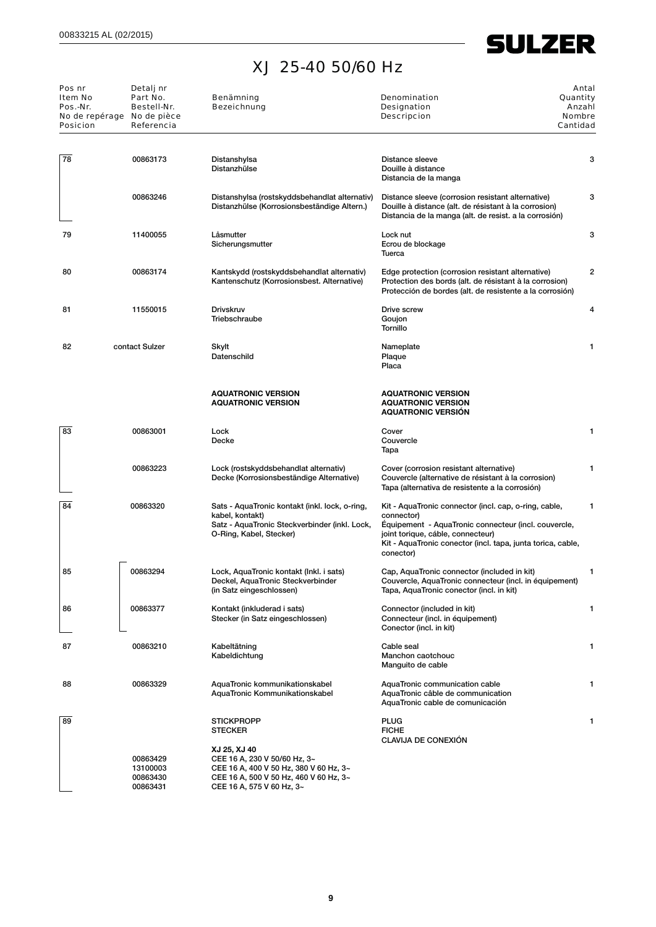# **SULZER**

## XJ 25-40 50/60 Hz

| Pos nr<br>Item No<br>Pos.-Nr.<br><b>Posicion</b> | Detalj nr<br>Part No.<br>Bestell-Nr.<br>No de repérage No de pièce<br>Referencia | Benämning<br><b>Bezeichnung</b>                                                                                                                                                                      | <b>Denomination</b><br><b>Designation</b><br><b>Descripcion</b>                                                                                                                                                                              | Antal<br>Quantity<br>Anzahl<br><b>Nombre</b><br>Cantidad |
|--------------------------------------------------|----------------------------------------------------------------------------------|------------------------------------------------------------------------------------------------------------------------------------------------------------------------------------------------------|----------------------------------------------------------------------------------------------------------------------------------------------------------------------------------------------------------------------------------------------|----------------------------------------------------------|
| 78                                               | 00863173                                                                         | Distanshylsa<br>Distanzhülse                                                                                                                                                                         | Distance sleeve<br>Douille à distance<br>Distancia de la manga                                                                                                                                                                               | 3                                                        |
|                                                  | 00863246                                                                         | Distanshylsa (rostskyddsbehandlat alternativ)<br>Distanzhülse (Korrosionsbeständige Altern.)                                                                                                         | Distance sleeve (corrosion resistant alternative)<br>Douille à distance (alt. de résistant à la corrosion)<br>Distancia de la manga (alt. de resist. a la corrosión)                                                                         | 3                                                        |
| 79                                               | 11400055                                                                         | Låsmutter<br>Sicherungsmutter                                                                                                                                                                        | Lock nut<br>Ecrou de blockage<br>Tuerca                                                                                                                                                                                                      | 3                                                        |
| 80                                               | 00863174                                                                         | Kantskydd (rostskyddsbehandlat alternativ)<br>Kantenschutz (Korrosionsbest. Alternative)                                                                                                             | Edge protection (corrosion resistant alternative)<br>Protection des bords (alt. de résistant à la corrosion)<br>Protección de bordes (alt. de resistente a la corrosión)                                                                     | 2                                                        |
| 81                                               | 11550015                                                                         | Drivskruv<br>Triebschraube                                                                                                                                                                           | Drive screw<br>Goujon<br><b>Tornillo</b>                                                                                                                                                                                                     | 4                                                        |
| 82                                               | contact Sulzer                                                                   | Skylt<br>Datenschild                                                                                                                                                                                 | Nameplate<br>Plaque<br>Placa                                                                                                                                                                                                                 | 1                                                        |
|                                                  |                                                                                  | <b>AQUATRONIC VERSION</b><br><b>AQUATRONIC VERSION</b>                                                                                                                                               | <b>AQUATRONIC VERSION</b><br><b>AQUATRONIC VERSION</b><br><b>AQUATRONIC VERSION</b>                                                                                                                                                          |                                                          |
| 83                                               | 00863001                                                                         | Lock<br>Decke                                                                                                                                                                                        | Cover<br>Couvercle<br>Tapa                                                                                                                                                                                                                   | 1                                                        |
|                                                  | 00863223                                                                         | Lock (rostskyddsbehandlat alternativ)<br>Decke (Korrosionsbeständige Alternative)                                                                                                                    | Cover (corrosion resistant alternative)<br>Couvercle (alternative de résistant à la corrosion)<br>Tapa (alternativa de resistente a la corrosión)                                                                                            | 1                                                        |
| 84                                               | 00863320                                                                         | Sats - AquaTronic kontakt (inkl. lock, o-ring,<br>kabel, kontakt)<br>Satz - AquaTronic Steckverbinder (inkl. Lock,<br>O-Ring, Kabel, Stecker)                                                        | Kit - AquaTronic connector (incl. cap, o-ring, cable,<br>connector)<br>Equipement - AquaTronic connecteur (incl. couvercle,<br>joint torique, cáble, connecteur)<br>Kit - AquaTronic conector (incl. tapa, junta torica, cable,<br>conector) | 1                                                        |
| 85                                               | 00863294                                                                         | Lock, AquaTronic kontakt (Inkl. i sats)<br>Deckel, AquaTronic Steckverbinder<br>(in Satz eingeschlossen)                                                                                             | Cap, AquaTronic connector (included in kit)<br>Couvercle, AquaTronic connecteur (incl. in équipement)<br>Tapa, AquaTronic conector (incl. in kit)                                                                                            | 1                                                        |
| 86                                               | 00863377                                                                         | Kontakt (inkluderad i sats)<br>Stecker (in Satz eingeschlossen)                                                                                                                                      | Connector (included in kit)<br>Connecteur (incl. in équipement)<br>Conector (incl. in kit)                                                                                                                                                   | 1                                                        |
| 87                                               | 00863210                                                                         | Kabeltätning<br>Kabeldichtung                                                                                                                                                                        | Cable seal<br>Manchon caotchouc<br>Manguito de cable                                                                                                                                                                                         | 1                                                        |
| 88                                               | 00863329                                                                         | AquaTronic kommunikationskabel<br>AquaTronic Kommunikationskabel                                                                                                                                     | AquaTronic communication cable<br>AquaTronic câble de communication<br>AquaTronic cable de comunicación                                                                                                                                      | 1                                                        |
| 89                                               | 00863429<br>13100003<br>00863430<br>00863431                                     | <b>STICKPROPP</b><br><b>STECKER</b><br>XJ 25, XJ 40<br>CEE 16 A, 230 V 50/60 Hz, 3~<br>CEE 16 A, 400 V 50 Hz, 380 V 60 Hz, 3~<br>CEE 16 A, 500 V 50 Hz, 460 V 60 Hz, 3~<br>CEE 16 A, 575 V 60 Hz, 3~ | <b>PLUG</b><br><b>FICHE</b><br><b>CLAVIJA DE CONEXIÓN</b>                                                                                                                                                                                    | 1                                                        |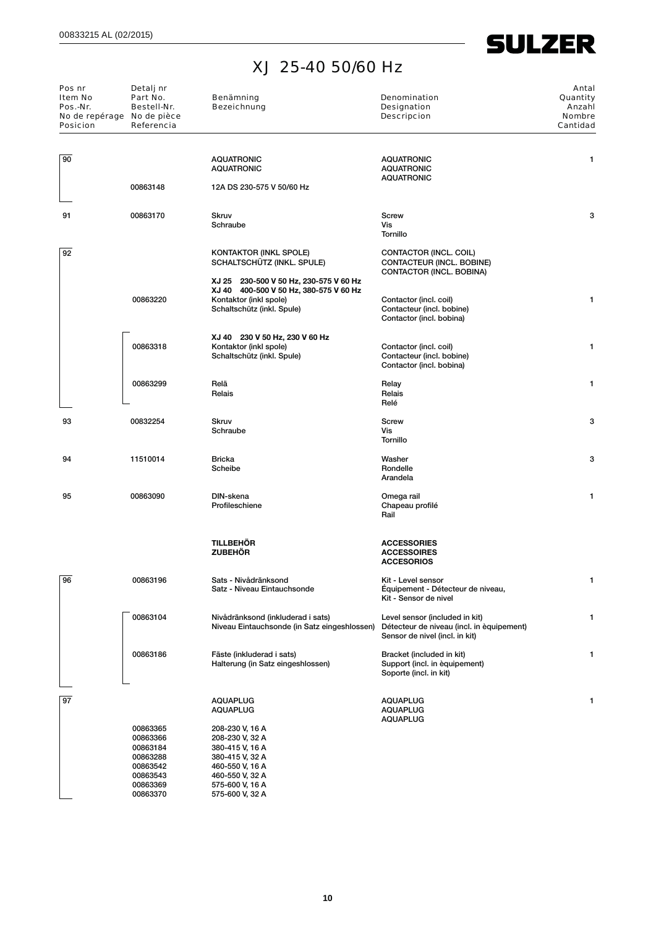**SULZER** 

| Pos nr<br>Item No<br>Pos.-Nr.<br>No de repérage No de pièce<br><b>Posicion</b> | Detalj nr<br>Part No.<br>Bestell-Nr.<br>Referencia                   | Benämning<br><b>Bezeichnung</b>                                                                                                          | <b>Denomination</b><br>Designation<br><b>Descripcion</b>                                                      | Antal<br>Quantity<br>Anzahl<br>Nombre<br>Cantidad |
|--------------------------------------------------------------------------------|----------------------------------------------------------------------|------------------------------------------------------------------------------------------------------------------------------------------|---------------------------------------------------------------------------------------------------------------|---------------------------------------------------|
| 90                                                                             |                                                                      | <b>AQUATRONIC</b><br><b>AQUATRONIC</b>                                                                                                   | <b>AQUATRONIC</b><br><b>AQUATRONIC</b><br><b>AQUATRONIC</b>                                                   | 1                                                 |
|                                                                                | 00863148                                                             | 12A DS 230-575 V 50/60 Hz                                                                                                                |                                                                                                               |                                                   |
| 91                                                                             | 00863170                                                             | <b>Skruv</b><br>Schraube                                                                                                                 | <b>Screw</b><br>Vis<br>Tornillo                                                                               | 3                                                 |
| 92                                                                             |                                                                      | KONTAKTOR (INKL SPOLE)<br>SCHALTSCHÜTZ (INKL. SPULE)                                                                                     | CONTACTOR (INCL. COIL)<br>CONTACTEUR (INCL. BOBINE)<br>CONTACTOR (INCL. BOBINA)                               |                                                   |
|                                                                                | 00863220                                                             | XJ 25 230-500 V 50 Hz, 230-575 V 60 Hz<br>XJ 40 400-500 V 50 Hz, 380-575 V 60 Hz<br>Kontaktor (inkl spole)<br>Schaltschütz (inkl. Spule) | Contactor (incl. coil)<br>Contacteur (incl. bobine)<br>Contactor (incl. bobina)                               | 1                                                 |
|                                                                                | 00863318                                                             | XJ 40 230 V 50 Hz, 230 V 60 Hz<br>Kontaktor (inkl spole)<br>Schaltschütz (inkl. Spule)                                                   | Contactor (incl. coil)<br>Contacteur (incl. bobine)<br>Contactor (incl. bobina)                               | 1                                                 |
|                                                                                | 00863299                                                             | Relä<br>Relais                                                                                                                           | Relay<br>Relais<br>Relé                                                                                       | 1                                                 |
| 93                                                                             | 00832254                                                             | <b>Skruv</b><br>Schraube                                                                                                                 | Screw<br>Vis<br>Tornillo                                                                                      | 3                                                 |
| 94                                                                             | 11510014                                                             | Bricka<br>Scheibe                                                                                                                        | Washer<br>Rondelle<br>Arandela                                                                                | 3                                                 |
| 95                                                                             | 00863090                                                             | DIN-skena<br>Profileschiene                                                                                                              | Omega rail<br>Chapeau profilé<br>Rail                                                                         | 1                                                 |
|                                                                                |                                                                      | <b>TILLBEHÖR</b><br><b>ZUBEHÖR</b>                                                                                                       | <b>ACCESSORIES</b><br><b>ACCESSOIRES</b><br><b>ACCESORIOS</b>                                                 |                                                   |
| 96                                                                             | 00863196                                                             | Sats - Nivådränksond<br>Satz - Niveau Eintauchsonde                                                                                      | Kit - Level sensor<br>Équipement - Détecteur de niveau,<br>Kit - Sensor de nivel                              |                                                   |
|                                                                                | 00863104                                                             | Nivådränksond (inkluderad i sats)<br>Niveau Eintauchsonde (in Satz eingeshlossen)                                                        | Level sensor (included in kit)<br>Détecteur de niveau (incl. in èquipement)<br>Sensor de nivel (incl. in kit) | 1                                                 |
|                                                                                | 00863186                                                             | Fäste (inkluderad i sats)<br>Halterung (in Satz eingeshlossen)                                                                           | Bracket (included in kit)<br>Support (incl. in equipement)<br>Soporte (incl. in kit)                          | 1                                                 |
| 97                                                                             |                                                                      | <b>AQUAPLUG</b><br><b>AQUAPLUG</b>                                                                                                       | <b>AQUAPLUG</b><br><b>AQUAPLUG</b>                                                                            |                                                   |
|                                                                                | 00863365<br>00863366<br>00863184<br>00863288<br>00863542<br>00863543 | 208-230 V, 16 A<br>208-230 V, 32 A<br>380-415 V, 16 A<br>380-415 V, 32 A<br>460-550 V, 16 A<br>460-550 V, 32 A                           | <b>AQUAPLUG</b>                                                                                               |                                                   |

00863369 575-600 V, 16 A 00863370 575-600 V, 32 A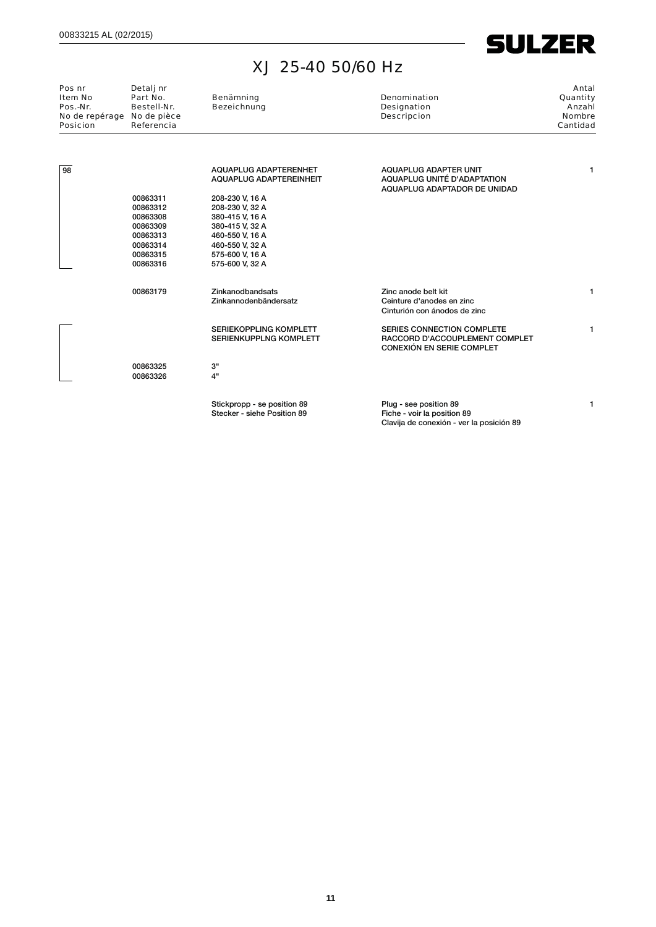| $\mathbf{I}$ | N<br>ı |
|--------------|--------|
|--------------|--------|

| Pos nr<br><b>Item No</b><br>Pos.-Nr.<br>No de repérage No de pièce<br><b>Posicion</b> | Detalj nr<br>Part No.<br>Bestell-Nr.<br>Referencia | Benämning<br><b>Bezeichnung</b>                         | <b>Denomination</b><br>Designation<br><b>Descripcion</b>                             | Antal<br>Quantity<br>Anzahl<br><b>Nombre</b><br>Cantidad |
|---------------------------------------------------------------------------------------|----------------------------------------------------|---------------------------------------------------------|--------------------------------------------------------------------------------------|----------------------------------------------------------|
| 98                                                                                    |                                                    | AQUAPLUG ADAPTERENHET<br><b>AQUAPLUG ADAPTEREINHEIT</b> | AQUAPLUG ADAPTER UNIT<br>AQUAPLUG UNITÉ D'ADAPTATION<br>AQUAPLUG ADAPTADOR DE UNIDAD | 1.                                                       |
|                                                                                       | 00863311<br>00863312                               | 208-230 V, 16 A                                         |                                                                                      |                                                          |
|                                                                                       | 00863308                                           | 208-230 V, 32 A<br>380-415 V, 16 A                      |                                                                                      |                                                          |
|                                                                                       | 00863309                                           | 380-415 V, 32 A                                         |                                                                                      |                                                          |
|                                                                                       | 00863313                                           | 460-550 V, 16 A                                         |                                                                                      |                                                          |
|                                                                                       | 00863314                                           | 460-550 V, 32 A                                         |                                                                                      |                                                          |
|                                                                                       | 00863315                                           | 575-600 V, 16 A                                         |                                                                                      |                                                          |
|                                                                                       | 00863316                                           | 575-600 V, 32 A                                         |                                                                                      |                                                          |
|                                                                                       | 00863179                                           | Zinkanodbandsats                                        | Zinc anode belt kit                                                                  | 1                                                        |
|                                                                                       |                                                    | Zinkannodenbändersatz                                   | Ceinture d'anodes en zinc<br>Cinturión con ánodos de zinc                            |                                                          |
|                                                                                       |                                                    | SERIEKOPPLING KOMPLETT                                  | SERIES CONNECTION COMPLETE                                                           | 1                                                        |
|                                                                                       |                                                    | SERIENKUPPLNG KOMPLETT                                  | RACCORD D'ACCOUPLEMENT COMPLET<br><b>CONEXIÓN EN SERIE COMPLET</b>                   |                                                          |
|                                                                                       | 00863325                                           | 3"                                                      |                                                                                      |                                                          |
|                                                                                       | 00863326                                           | 4"                                                      |                                                                                      |                                                          |
|                                                                                       |                                                    | Stickpropp - se position 89                             | Plug - see position 89                                                               | 1.                                                       |
|                                                                                       |                                                    | Stecker - siehe Position 89                             | Fiche - voir la position 89                                                          |                                                          |

Clavija de conexión - ver la posición 89